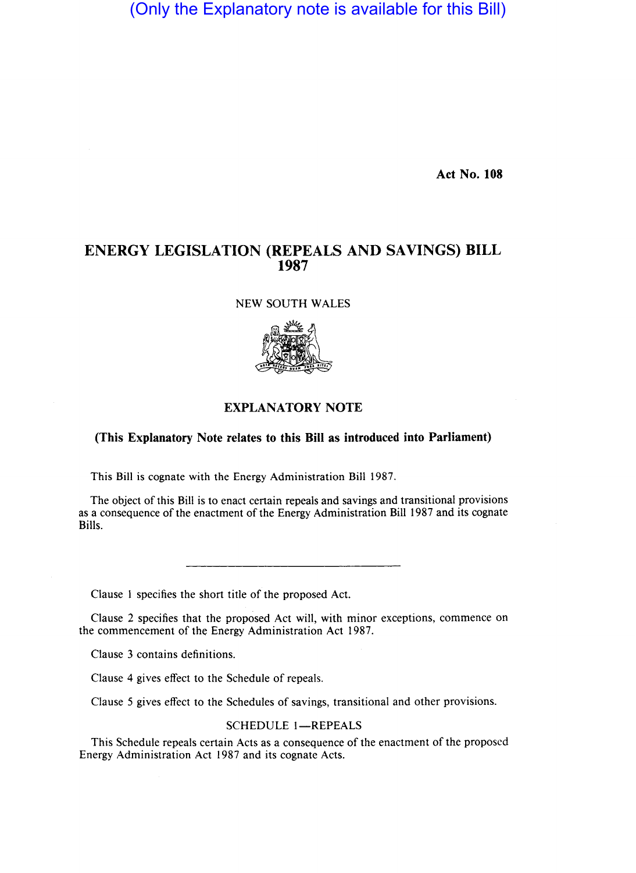(Only the Explanatory note is available for this Bill)

**Act No. 108** 

# **ENERGY LEGISLATION (REPEALS AND SAVINGS) BILL 1987**

NEW SOUTH WALES



## **EXPLANATORY NOTE**

## **(This Explanatory Note relates to this Bill as introduced into Parliament)**

This Bill is cognate with the Energy Administration Bill 1987.

The object of this Bill is to enact certain repeals and savings and transitional provisions as a consequence of the enactment of the Energy Administration Bill 1987 and its cognate Bills.

Clause 1 specifies the short title of the proposed Act.

Clause 2 specifies that the proposed Act will, with minor exceptions, commence on the commencement of the Energy Administration Act 1987.

Clause 3 contains definitions.

Clause 4 gives effect to the Schedule of repeals.

Clause 5 gives effect to the Schedules of savings, transitional and other provisions.

#### SCHEDULE 1-REPEALS

This Schedule repeals certain Acts as a consequence of the enactment of the proposed Energy Administration Act 1987 and its cognate Acts.